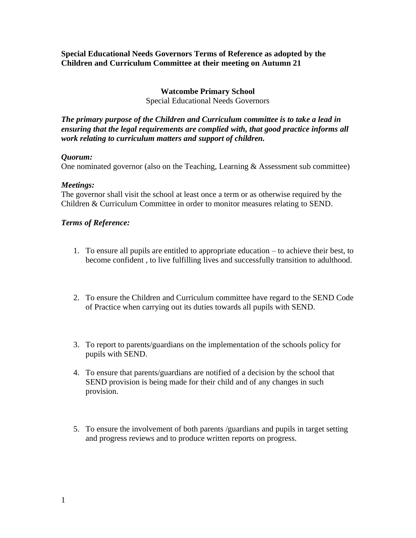#### **Special Educational Needs Governors Terms of Reference as adopted by the Children and Curriculum Committee at their meeting on Autumn 21**

### **Watcombe Primary School**

Special Educational Needs Governors

*The primary purpose of the Children and Curriculum committee is to take a lead in ensuring that the legal requirements are complied with, that good practice informs all work relating to curriculum matters and support of children.* 

#### *Quorum:*

One nominated governor (also on the Teaching, Learning & Assessment sub committee)

#### *Meetings:*

The governor shall visit the school at least once a term or as otherwise required by the Children & Curriculum Committee in order to monitor measures relating to SEND.

#### *Terms of Reference:*

- 1. To ensure all pupils are entitled to appropriate education to achieve their best, to become confident , to live fulfilling lives and successfully transition to adulthood.
- 2. To ensure the Children and Curriculum committee have regard to the SEND Code of Practice when carrying out its duties towards all pupils with SEND.
- 3. To report to parents/guardians on the implementation of the schools policy for pupils with SEND.
- 4. To ensure that parents/guardians are notified of a decision by the school that SEND provision is being made for their child and of any changes in such provision.
- 5. To ensure the involvement of both parents /guardians and pupils in target setting and progress reviews and to produce written reports on progress.